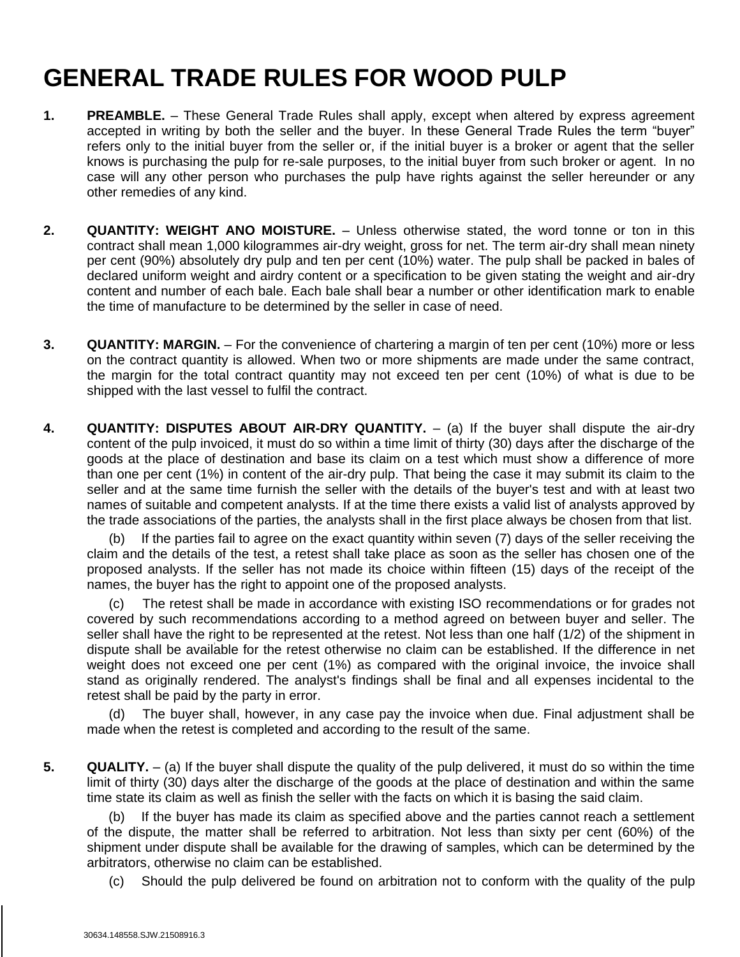## **GENERAL TRADE RULES FOR WOOD PULP**

- **1. PREAMBLE.** These General Trade Rules shall apply, except when altered by express agreement accepted in writing by both the seller and the buyer. In these General Trade Rules the term "buyer" refers only to the initial buyer from the seller or, if the initial buyer is a broker or agent that the seller knows is purchasing the pulp for re-sale purposes, to the initial buyer from such broker or agent. In no case will any other person who purchases the pulp have rights against the seller hereunder or any other remedies of any kind.
- **2. QUANTITY: WEIGHT ANO MOISTURE.** Unless otherwise stated, the word tonne or ton in this contract shall mean 1,000 kilogrammes air-dry weight, gross for net. The term air-dry shall mean ninety per cent (90%) absolutely dry pulp and ten per cent (10%) water. The pulp shall be packed in bales of declared uniform weight and airdry content or a specification to be given stating the weight and air-dry content and number of each bale. Each bale shall bear a number or other identification mark to enable the time of manufacture to be determined by the seller in case of need.
- **3. QUANTITY: MARGIN.** For the convenience of chartering a margin of ten per cent (10%) more or less on the contract quantity is allowed. When two or more shipments are made under the same contract, the margin for the total contract quantity may not exceed ten per cent (10%) of what is due to be shipped with the last vessel to fulfil the contract.
- **4. QUANTITY: DISPUTES ABOUT AIR-DRY QUANTITY.** (a) If the buyer shall dispute the air-dry content of the pulp invoiced, it must do so within a time limit of thirty (30) days after the discharge of the goods at the place of destination and base its claim on a test which must show a difference of more than one per cent (1%) in content of the air-dry pulp. That being the case it may submit its claim to the seller and at the same time furnish the seller with the details of the buyer's test and with at least two names of suitable and competent analysts. If at the time there exists a valid list of analysts approved by the trade associations of the parties, the analysts shall in the first place always be chosen from that list.

If the parties fail to agree on the exact quantity within seven (7) days of the seller receiving the claim and the details of the test, a retest shall take place as soon as the seller has chosen one of the proposed analysts. If the seller has not made its choice within fifteen (15) days of the receipt of the names, the buyer has the right to appoint one of the proposed analysts.

**1** dispute shall be available for the retest otherwise no claim can be established. If the difference in net The retest shall be made in accordance with existing ISO recommendations or for grades not covered by such recommendations according to a method agreed on between buyer and seller. The seller shall have the right to be represented at the retest. Not less than one half (1/2) of the shipment in weight does not exceed one per cent (1%) as compared with the original invoice, the invoice shall stand as originally rendered. The analyst's findings shall be final and all expenses incidental to the retest shall be paid by the party in error.

The buyer shall, however, in any case pay the invoice when due. Final adjustment shall be made when the retest is completed and according to the result of the same.

**5. QUALITY.** – (a) If the buyer shall dispute the quality of the pulp delivered, it must do so within the time limit of thirty (30) days alter the discharge of the goods at the place of destination and within the same time state its claim as well as finish the seller with the facts on which it is basing the said claim.

(b) If the buyer has made its claim as specified above and the parties cannot reach a settlement of the dispute, the matter shall be referred to arbitration. Not less than sixty per cent (60%) of the shipment under dispute shall be available for the drawing of samples, which can be determined by the arbitrators, otherwise no claim can be established.

(c) Should the pulp delivered be found on arbitration not to conform with the quality of the pulp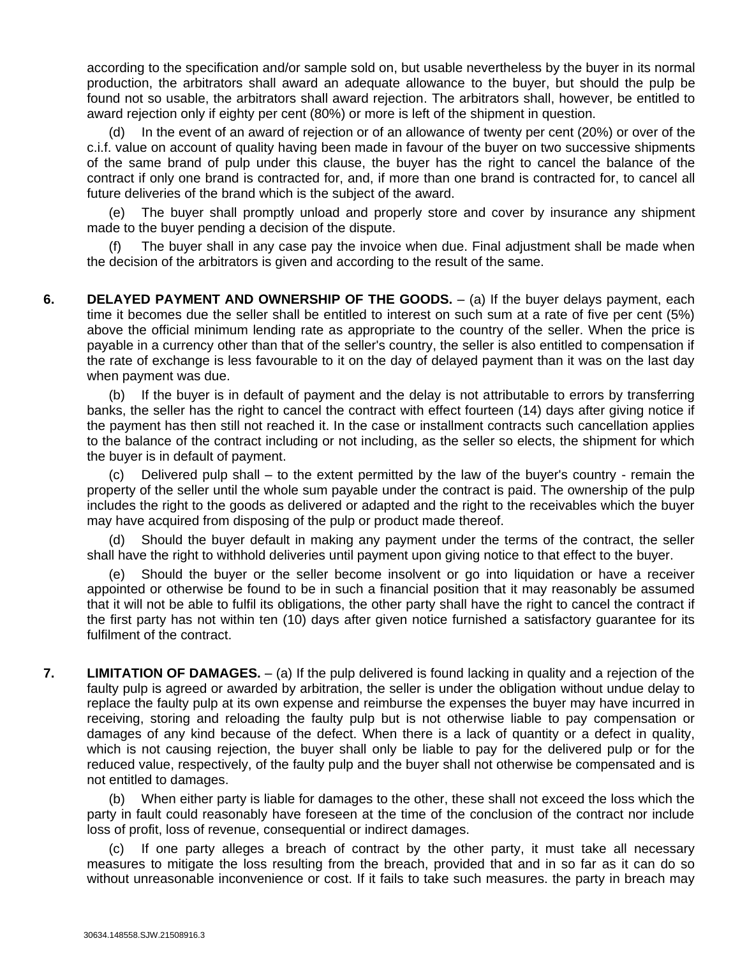according to the specification and/or sample sold on, but usable nevertheless by the buyer in its normal production, the arbitrators shall award an adequate allowance to the buyer, but should the pulp be found not so usable, the arbitrators shall award rejection. The arbitrators shall, however, be entitled to award rejection only if eighty per cent (80%) or more is left of the shipment in question.

(d) In the event of an award of rejection or of an allowance of twenty per cent (20%) or over of the c.i.f. value on account of quality having been made in favour of the buyer on two successive shipments of the same brand of pulp under this clause, the buyer has the right to cancel the balance of the contract if only one brand is contracted for, and, if more than one brand is contracted for, to cancel all future deliveries of the brand which is the subject of the award.

(e) The buyer shall promptly unload and properly store and cover by insurance any shipment made to the buyer pending a decision of the dispute.

The buyer shall in any case pay the invoice when due. Final adjustment shall be made when the decision of the arbitrators is given and according to the result of the same.

**6. DELAYED PAYMENT AND OWNERSHIP OF THE GOODS.** – (a) If the buyer delays payment, each time it becomes due the seller shall be entitled to interest on such sum at a rate of five per cent (5%) above the official minimum lending rate as appropriate to the country of the seller. When the price is payable in a currency other than that of the seller's country, the seller is also entitled to compensation if the rate of exchange is less favourable to it on the day of delayed payment than it was on the last day when payment was due.

(b) If the buyer is in default of payment and the delay is not attributable to errors by transferring banks, the seller has the right to cancel the contract with effect fourteen (14) days after giving notice if the payment has then still not reached it. In the case or installment contracts such cancellation applies to the balance of the contract including or not including, as the seller so elects, the shipment for which the buyer is in default of payment.

(c) Delivered pulp shall – to the extent permitted by the law of the buyer's country - remain the property of the seller until the whole sum payable under the contract is paid. The ownership of the pulp includes the right to the goods as delivered or adapted and the right to the receivables which the buyer may have acquired from disposing of the pulp or product made thereof.

(d) Should the buyer default in making any payment under the terms of the contract, the seller shall have the right to withhold deliveries until payment upon giving notice to that effect to the buyer.

Should the buyer or the seller become insolvent or go into liquidation or have a receiver appointed or otherwise be found to be in such a financial position that it may reasonably be assumed that it will not be able to fulfil its obligations, the other party shall have the right to cancel the contract if the first party has not within ten (10) days after given notice furnished a satisfactory guarantee for its fulfilment of the contract.

**7. LIMITATION OF DAMAGES.** – (a) If the pulp delivered is found lacking in quality and a rejection of the faulty pulp is agreed or awarded by arbitration, the seller is under the obligation without undue delay to replace the faulty pulp at its own expense and reimburse the expenses the buyer may have incurred in receiving, storing and reloading the faulty pulp but is not otherwise liable to pay compensation or damages of any kind because of the defect. When there is a lack of quantity or a defect in quality, which is not causing rejection, the buyer shall only be liable to pay for the delivered pulp or for the reduced value, respectively, of the faulty pulp and the buyer shall not otherwise be compensated and is not entitled to damages.

(b) When either party is liable for damages to the other, these shall not exceed the loss which the party in fault could reasonably have foreseen at the time of the conclusion of the contract nor include loss of profit, loss of revenue, consequential or indirect damages.

If one party alleges a breach of contract by the other party, it must take all necessary measures to mitigate the loss resulting from the breach, provided that and in so far as it can do so without unreasonable inconvenience or cost. If it fails to take such measures. the party in breach may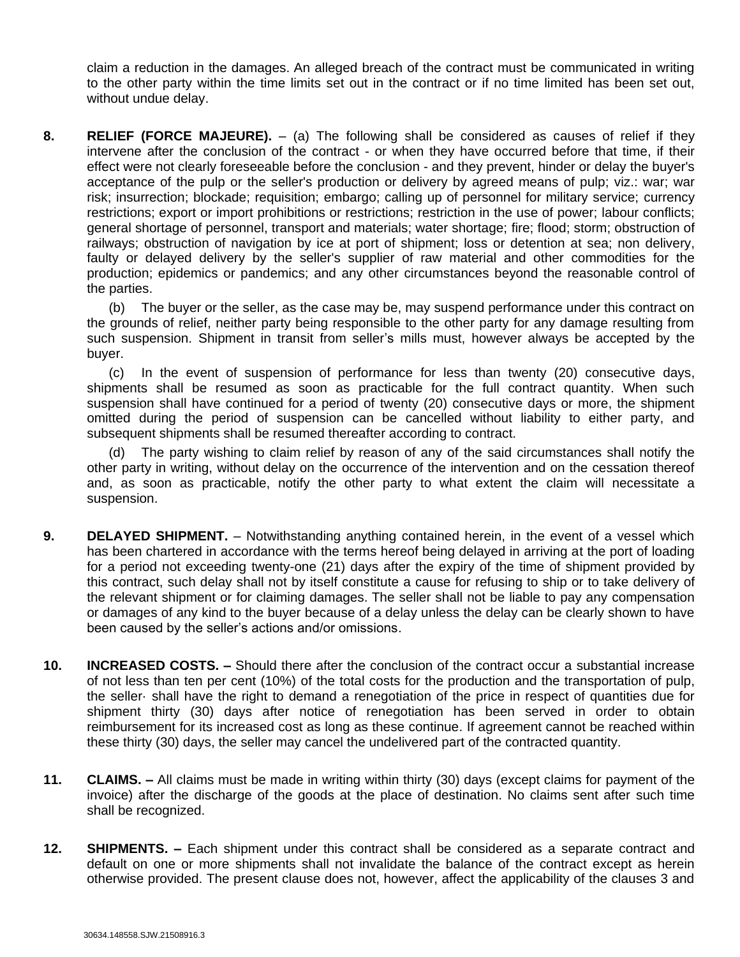claim a reduction in the damages. An alleged breach of the contract must be communicated in writing to the other party within the time limits set out in the contract or if no time limited has been set out, without undue delay.

**8. RELIEF (FORCE MAJEURE).** – (a) The following shall be considered as causes of relief if they intervene after the conclusion of the contract - or when they have occurred before that time, if their effect were not clearly foreseeable before the conclusion - and they prevent, hinder or delay the buyer's acceptance of the pulp or the seller's production or delivery by agreed means of pulp; viz.: war; war risk; insurrection; blockade; requisition; embargo; calling up of personnel for military service; currency restrictions; export or import prohibitions or restrictions; restriction in the use of power; labour conflicts; general shortage of personnel, transport and materials; water shortage; fire; flood; storm; obstruction of railways; obstruction of navigation by ice at port of shipment; loss or detention at sea; non delivery, faulty or delayed delivery by the seller's supplier of raw material and other commodities for the production; epidemics or pandemics; and any other circumstances beyond the reasonable control of the parties.

(b) The buyer or the seller, as the case may be, may suspend performance under this contract on the grounds of relief, neither party being responsible to the other party for any damage resulting from such suspension. Shipment in transit from seller's mills must, however always be accepted by the buyer.

(c) In the event of suspension of performance for less than twenty (20) consecutive days, shipments shall be resumed as soon as practicable for the full contract quantity. When such suspension shall have continued for a period of twenty (20) consecutive days or more, the shipment omitted during the period of suspension can be cancelled without liability to either party, and subsequent shipments shall be resumed thereafter according to contract.

The party wishing to claim relief by reason of any of the said circumstances shall notify the other party in writing, without delay on the occurrence of the intervention and on the cessation thereof and, as soon as practicable, notify the other party to what extent the claim will necessitate a suspension.

- **9. DELAYED SHIPMENT.** Notwithstanding anything contained herein, in the event of a vessel which has been chartered in accordance with the terms hereof being delayed in arriving at the port of loading for a period not exceeding twenty-one (21) days after the expiry of the time of shipment provided by this contract, such delay shall not by itself constitute a cause for refusing to ship or to take delivery of the relevant shipment or for claiming damages. The seller shall not be liable to pay any compensation or damages of any kind to the buyer because of a delay unless the delay can be clearly shown to have been caused by the seller's actions and/or omissions.
- **10. INCREASED COSTS. –** Should there after the conclusion of the contract occur a substantial increase of not less than ten per cent (10%) of the total costs for the production and the transportation of pulp, the seller· shall have the right to demand a renegotiation of the price in respect of quantities due for shipment thirty (30) days after notice of renegotiation has been served in order to obtain reimbursement for its increased cost as long as these continue. If agreement cannot be reached within these thirty (30) days, the seller may cancel the undelivered part of the contracted quantity.
- **11. CLAIMS. –** All claims must be made in writing within thirty (30) days (except claims for payment of the invoice) after the discharge of the goods at the place of destination. No claims sent after such time shall be recognized.
- **12. SHIPMENTS. –** Each shipment under this contract shall be considered as a separate contract and default on one or more shipments shall not invalidate the balance of the contract except as herein otherwise provided. The present clause does not, however, affect the applicability of the clauses 3 and